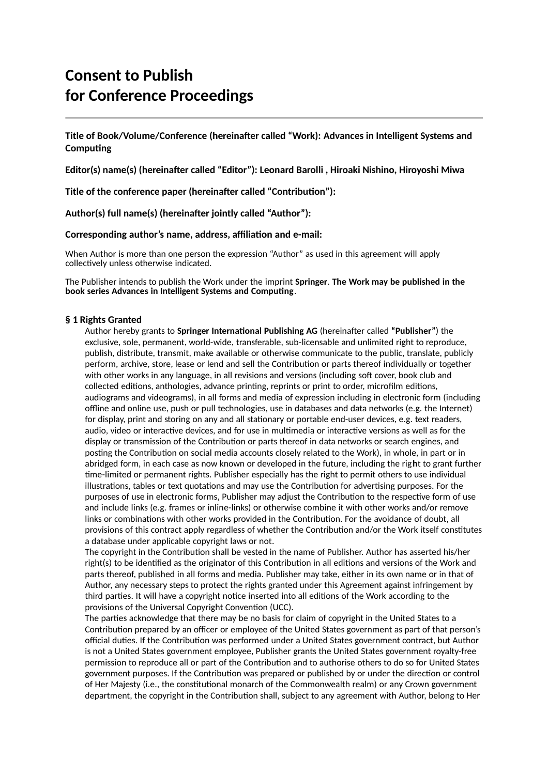# **Consent to Publish for Conference Proceedings**

**Title of Book/Volume/Conference (hereinafter called "Work): Advances in Intelligent Systems and Computing** 

**Editor(s) name(s) (hereinafter called "Editor"): Leonard Barolli , Hiroaki Nishino, Hiroyoshi Miwa**

**Title of the conference paper (hereinafter called "Contribution"):** 

**Author(s) full name(s) (hereinafter jointly called "Author"):** 

#### **Corresponding author's name, address, affiliation and e-mail:**

When Author is more than one person the expression "Author" as used in this agreement will apply collectively unless otherwise indicated.

The Publisher intends to publish the Work under the imprint **Springer**. **The Work may be published in the book series Advances in Intelligent Systems and Computing**.

# **§ 1 Rights Granted**

Author hereby grants to **Springer International Publishing AG** (hereinafter called **"Publisher"**) the exclusive, sole, permanent, world-wide, transferable, sub-licensable and unlimited right to reproduce, publish, distribute, transmit, make available or otherwise communicate to the public, translate, publicly perform, archive, store, lease or lend and sell the Contribution or parts thereof individually or together with other works in any language, in all revisions and versions (including soft cover, book club and collected editions, anthologies, advance printing, reprints or print to order, microfilm editions, audiograms and videograms), in all forms and media of expression including in electronic form (including offline and online use, push or pull technologies, use in databases and data networks (e.g. the Internet) for display, print and storing on any and all stationary or portable end-user devices, e.g. text readers, audio, video or interactive devices, and for use in multimedia or interactive versions as well as for the display or transmission of the Contribution or parts thereof in data networks or search engines, and posting the Contribution on social media accounts closely related to the Work), in whole, in part or in abridged form, in each case as now known or developed in the future, including the rig**h**t to grant further time-limited or permanent rights. Publisher especially has the right to permit others to use individual illustrations, tables or text quotations and may use the Contribution for advertising purposes. For the purposes of use in electronic forms, Publisher may adjust the Contribution to the respective form of use and include links (e.g. frames or inline-links) or otherwise combine it with other works and/or remove links or combinations with other works provided in the Contribution. For the avoidance of doubt, all provisions of this contract apply regardless of whether the Contribution and/or the Work itself constitutes a database under applicable copyright laws or not.

The copyright in the Contribution shall be vested in the name of Publisher. Author has asserted his/her right(s) to be identified as the originator of this Contribution in all editions and versions of the Work and parts thereof, published in all forms and media. Publisher may take, either in its own name or in that of Author, any necessary steps to protect the rights granted under this Agreement against infringement by third parties. It will have a copyright notice inserted into all editions of the Work according to the provisions of the Universal Copyright Convention (UCC).

The parties acknowledge that there may be no basis for claim of copyright in the United States to a Contribution prepared by an officer or employee of the United States government as part of that person's official duties. If the Contribution was performed under a United States government contract, but Author is not a United States government employee, Publisher grants the United States government royalty-free permission to reproduce all or part of the Contribution and to authorise others to do so for United States government purposes. If the Contribution was prepared or published by or under the direction or control of Her Majesty (i.e., the constitutional monarch of the Commonwealth realm) or any Crown government department, the copyright in the Contribution shall, subject to any agreement with Author, belong to Her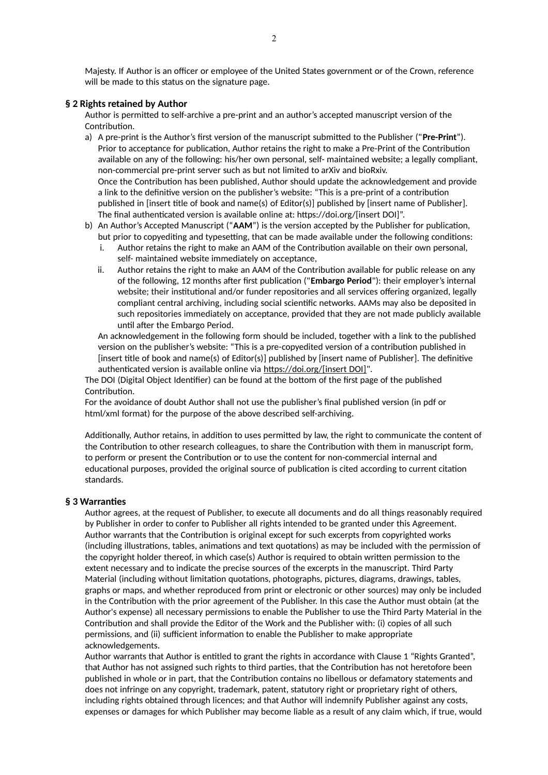Majesty. If Author is an officer or employee of the United States government or of the Crown, reference will be made to this status on the signature page.

# **§ 2 Rights retained by Author**

Author is permitted to self-archive a pre-print and an author's accepted manuscript version of the Contribution.

- a) A pre-print is the Author's first version of the manuscript submitted to the Publisher ("**Pre-Print**"). Prior to acceptance for publication, Author retains the right to make a Pre-Print of the Contribution available on any of the following: his/her own personal, self- maintained website; a legally compliant, non-commercial pre-print server such as but not limited to arXiv and bioRxiv. Once the Contribution has been published, Author should update the acknowledgement and provide a link to the definitive version on the publisher's website: "This is a pre-print of a contribution published in [insert title of book and name(s) of Editor(s)] published by [insert name of Publisher]. The final authenticated version is available online at: https://doi.org/[insert DOI]".
- b) An Author's Accepted Manuscript ("**AAM**") is the version accepted by the Publisher for publication, but prior to copyediting and typesetting, that can be made available under the following conditions:
	- i. Author retains the right to make an AAM of the Contribution available on their own personal, self- maintained website immediately on acceptance,
	- ii. Author retains the right to make an AAM of the Contribution available for public release on any of the following, 12 months after first publication ("**Embargo Period**"): their employer's internal website; their institutional and/or funder repositories and all services offering organized, legally compliant central archiving, including social scientific networks. AAMs may also be deposited in such repositories immediately on acceptance, provided that they are not made publicly available until after the Embargo Period.

An acknowledgement in the following form should be included, together with a link to the published version on the publisher's website: "This is a pre-copyedited version of a contribution published in [insert title of book and name(s) of Editor(s)] published by [insert name of Publisher]. The definitive authenticated version is available online via https://doi.org/[insert DOI]".

The DOI (Digital Object Identifier) can be found at the bottom of the first page of the published Contribution.

For the avoidance of doubt Author shall not use the publisher's final published version (in pdf or html/xml format) for the purpose of the above described self-archiving.

Additionally, Author retains, in addition to uses permitted by law, the right to communicate the content of the Contribution to other research colleagues, to share the Contribution with them in manuscript form, to perform or present the Contribution or to use the content for non-commercial internal and educational purposes, provided the original source of publication is cited according to current citation standards.

#### **§ 3 Warranties**

Author agrees, at the request of Publisher, to execute all documents and do all things reasonably required by Publisher in order to confer to Publisher all rights intended to be granted under this Agreement. Author warrants that the Contribution is original except for such excerpts from copyrighted works (including illustrations, tables, animations and text quotations) as may be included with the permission of the copyright holder thereof, in which case(s) Author is required to obtain written permission to the extent necessary and to indicate the precise sources of the excerpts in the manuscript. Third Party Material (including without limitation quotations, photographs, pictures, diagrams, drawings, tables, graphs or maps, and whether reproduced from print or electronic or other sources) may only be included in the Contribution with the prior agreement of the Publisher. In this case the Author must obtain (at the Author's expense) all necessary permissions to enable the Publisher to use the Third Party Material in the Contribution and shall provide the Editor of the Work and the Publisher with: (i) copies of all such permissions, and (ii) sufficient information to enable the Publisher to make appropriate acknowledgements.

Author warrants that Author is entitled to grant the rights in accordance with Clause 1 "Rights Granted", that Author has not assigned such rights to third parties, that the Contribution has not heretofore been published in whole or in part, that the Contribution contains no libellous or defamatory statements and does not infringe on any copyright, trademark, patent, statutory right or proprietary right of others, including rights obtained through licences; and that Author will indemnify Publisher against any costs, expenses or damages for which Publisher may become liable as a result of any claim which, if true, would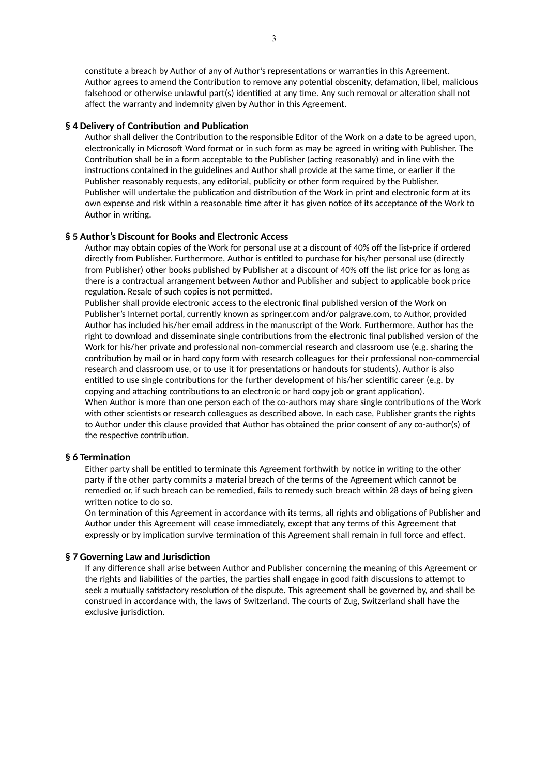constitute a breach by Author of any of Author's representations or warranties in this Agreement. Author agrees to amend the Contribution to remove any potential obscenity, defamation, libel, malicious falsehood or otherwise unlawful part(s) identified at any time. Any such removal or alteration shall not affect the warranty and indemnity given by Author in this Agreement.

# **§ 4 Delivery of Contribution and Publication**

Author shall deliver the Contribution to the responsible Editor of the Work on a date to be agreed upon, electronically in Microsoft Word format or in such form as may be agreed in writing with Publisher. The Contribution shall be in a form acceptable to the Publisher (acting reasonably) and in line with the instructions contained in the guidelines and Author shall provide at the same time, or earlier if the Publisher reasonably requests, any editorial, publicity or other form required by the Publisher. Publisher will undertake the publication and distribution of the Work in print and electronic form at its own expense and risk within a reasonable time after it has given notice of its acceptance of the Work to Author in writing.

# **§ 5 Author's Discount for Books and Electronic Access**

Author may obtain copies of the Work for personal use at a discount of 40% off the list-price if ordered directly from Publisher. Furthermore, Author is entitled to purchase for his/her personal use (directly from Publisher) other books published by Publisher at a discount of 40% off the list price for as long as there is a contractual arrangement between Author and Publisher and subject to applicable book price regulation. Resale of such copies is not permitted.

Publisher shall provide electronic access to the electronic final published version of the Work on Publisher's Internet portal, currently known as springer.com and/or palgrave.com, to Author, provided Author has included his/her email address in the manuscript of the Work. Furthermore, Author has the right to download and disseminate single contributions from the electronic final published version of the Work for his/her private and professional non-commercial research and classroom use (e.g. sharing the contribution by mail or in hard copy form with research colleagues for their professional non-commercial research and classroom use, or to use it for presentations or handouts for students). Author is also entitled to use single contributions for the further development of his/her scientific career (e.g. by copying and attaching contributions to an electronic or hard copy job or grant application). When Author is more than one person each of the co-authors may share single contributions of the Work with other scientists or research colleagues as described above. In each case, Publisher grants the rights to Author under this clause provided that Author has obtained the prior consent of any co-author(s) of the respective contribution.

#### **§ 6 Termination**

Either party shall be entitled to terminate this Agreement forthwith by notice in writing to the other party if the other party commits a material breach of the terms of the Agreement which cannot be remedied or, if such breach can be remedied, fails to remedy such breach within 28 days of being given written notice to do so.

On termination of this Agreement in accordance with its terms, all rights and obligations of Publisher and Author under this Agreement will cease immediately, except that any terms of this Agreement that expressly or by implication survive termination of this Agreement shall remain in full force and effect.

#### **§ 7 Governing Law and Jurisdiction**

If any difference shall arise between Author and Publisher concerning the meaning of this Agreement or the rights and liabilities of the parties, the parties shall engage in good faith discussions to attempt to seek a mutually satisfactory resolution of the dispute. This agreement shall be governed by, and shall be construed in accordance with, the laws of Switzerland. The courts of Zug, Switzerland shall have the exclusive jurisdiction.